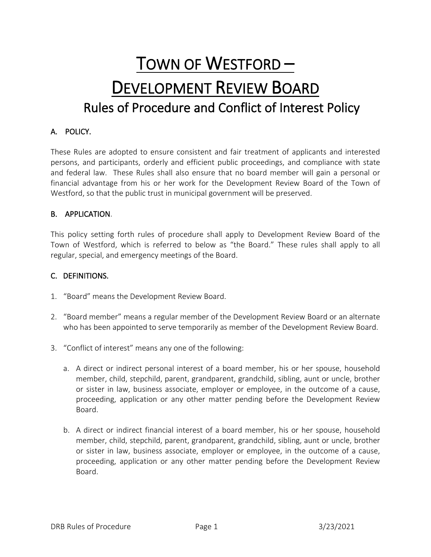# TOWN OF WESTFORD – DEVELOPMENT REVIEW BOARD Rules of Procedure and Conflict of Interest Policy

# A. POLICY.

These Rules are adopted to ensure consistent and fair treatment of applicants and interested persons, and participants, orderly and efficient public proceedings, and compliance with state and federal law. These Rules shall also ensure that no board member will gain a personal or financial advantage from his or her work for the Development Review Board of the Town of Westford, so that the public trust in municipal government will be preserved.

## B. APPLICATION.

This policy setting forth rules of procedure shall apply to Development Review Board of the Town of Westford, which is referred to below as "the Board." These rules shall apply to all regular, special, and emergency meetings of the Board.

### C. DEFINITIONS.

- 1. "Board" means the Development Review Board.
- 2. "Board member" means a regular member of the Development Review Board or an alternate who has been appointed to serve temporarily as member of the Development Review Board.
- 3. "Conflict of interest" means any one of the following:
	- a. A direct or indirect personal interest of a board member, his or her spouse, household member, child, stepchild, parent, grandparent, grandchild, sibling, aunt or uncle, brother or sister in law, business associate, employer or employee, in the outcome of a cause, proceeding, application or any other matter pending before the Development Review Board.
	- b. A direct or indirect financial interest of a board member, his or her spouse, household member, child, stepchild, parent, grandparent, grandchild, sibling, aunt or uncle, brother or sister in law, business associate, employer or employee, in the outcome of a cause, proceeding, application or any other matter pending before the Development Review Board.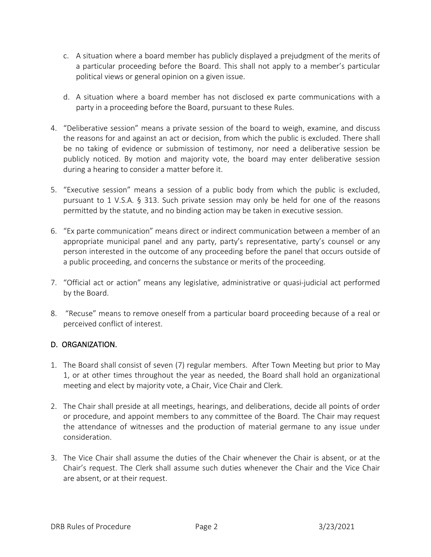- c. A situation where a board member has publicly displayed a prejudgment of the merits of a particular proceeding before the Board. This shall not apply to a member's particular political views or general opinion on a given issue.
- d. A situation where a board member has not disclosed ex parte communications with a party in a proceeding before the Board, pursuant to these Rules.
- 4. "Deliberative session" means a private session of the board to weigh, examine, and discuss the reasons for and against an act or decision, from which the public is excluded. There shall be no taking of evidence or submission of testimony, nor need a deliberative session be publicly noticed. By motion and majority vote, the board may enter deliberative session during a hearing to consider a matter before it.
- 5. "Executive session" means a session of a public body from which the public is excluded, pursuant to 1 V.S.A. § 313. Such private session may only be held for one of the reasons permitted by the statute, and no binding action may be taken in executive session.
- 6. "Ex parte communication" means direct or indirect communication between a member of an appropriate municipal panel and any party, party's representative, party's counsel or any person interested in the outcome of any proceeding before the panel that occurs outside of a public proceeding, and concerns the substance or merits of the proceeding.
- 7. "Official act or action" means any legislative, administrative or quasi-judicial act performed by the Board.
- 8. "Recuse" means to remove oneself from a particular board proceeding because of a real or perceived conflict of interest.

# D. ORGANIZATION.

- 1. The Board shall consist of seven (7) regular members. After Town Meeting but prior to May 1, or at other times throughout the year as needed, the Board shall hold an organizational meeting and elect by majority vote, a Chair, Vice Chair and Clerk.
- 2. The Chair shall preside at all meetings, hearings, and deliberations, decide all points of order or procedure, and appoint members to any committee of the Board. The Chair may request the attendance of witnesses and the production of material germane to any issue under consideration.
- 3. The Vice Chair shall assume the duties of the Chair whenever the Chair is absent, or at the Chair's request. The Clerk shall assume such duties whenever the Chair and the Vice Chair are absent, or at their request.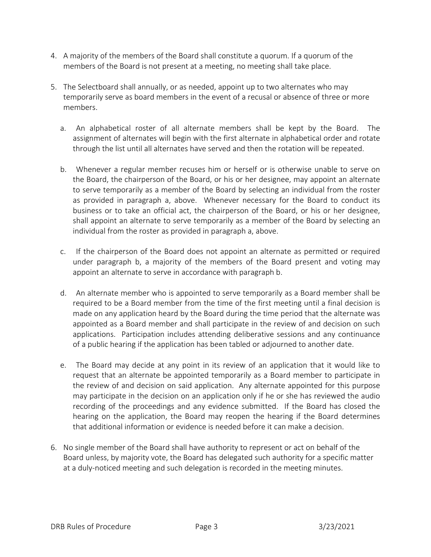- 4. A majority of the members of the Board shall constitute a quorum. If a quorum of the members of the Board is not present at a meeting, no meeting shall take place.
- 5. The Selectboard shall annually, or as needed, appoint up to two alternates who may temporarily serve as board members in the event of a recusal or absence of three or more members.
	- a. An alphabetical roster of all alternate members shall be kept by the Board. The assignment of alternates will begin with the first alternate in alphabetical order and rotate through the list until all alternates have served and then the rotation will be repeated.
	- b. Whenever a regular member recuses him or herself or is otherwise unable to serve on the Board, the chairperson of the Board, or his or her designee, may appoint an alternate to serve temporarily as a member of the Board by selecting an individual from the roster as provided in paragraph a, above. Whenever necessary for the Board to conduct its business or to take an official act, the chairperson of the Board, or his or her designee, shall appoint an alternate to serve temporarily as a member of the Board by selecting an individual from the roster as provided in paragraph a, above.
	- c. If the chairperson of the Board does not appoint an alternate as permitted or required under paragraph b, a majority of the members of the Board present and voting may appoint an alternate to serve in accordance with paragraph b.
	- d. An alternate member who is appointed to serve temporarily as a Board member shall be required to be a Board member from the time of the first meeting until a final decision is made on any application heard by the Board during the time period that the alternate was appointed as a Board member and shall participate in the review of and decision on such applications. Participation includes attending deliberative sessions and any continuance of a public hearing if the application has been tabled or adjourned to another date.
	- e. The Board may decide at any point in its review of an application that it would like to request that an alternate be appointed temporarily as a Board member to participate in the review of and decision on said application. Any alternate appointed for this purpose may participate in the decision on an application only if he or she has reviewed the audio recording of the proceedings and any evidence submitted. If the Board has closed the hearing on the application, the Board may reopen the hearing if the Board determines that additional information or evidence is needed before it can make a decision.
- 6. No single member of the Board shall have authority to represent or act on behalf of the Board unless, by majority vote, the Board has delegated such authority for a specific matter at a duly-noticed meeting and such delegation is recorded in the meeting minutes.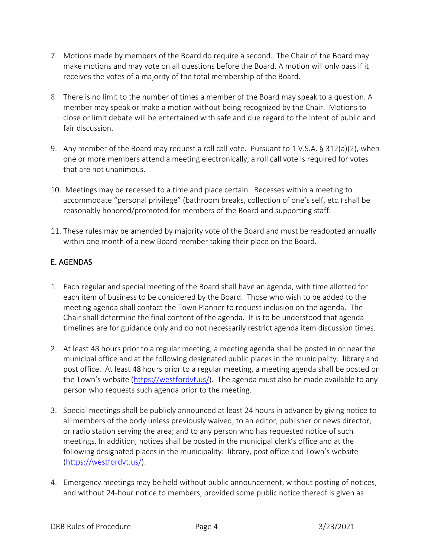- 7. Motions made by members of the Board do require a second. The Chair of the Board may make motions and may vote on all questions before the Board. A motion will only pass if it receives the votes of a majority of the total membership of the Board.
- 8. There is no limit to the number of times a member of the Board may speak to a question. A member may speak or make a motion without being recognized by the Chair. Motions to close or limit debate will be entertained with safe and due regard to the intent of public and fair discussion.
- 9. Any member of the Board may request a roll call vote. Pursuant to 1 V.S.A. § 312(a)(2), when one or more members attend a meeting electronically, a roll call vote is required for votes that are not unanimous.
- 10. Meetings may be recessed to a time and place certain. Recesses within a meeting to accommodate "personal privilege" (bathroom breaks, collection of one's self, etc.) shall be reasonably honored/promoted for members of the Board and supporting staff.
- 11. These rules may be amended by majority vote of the Board and must be readopted annually within one month of a new Board member taking their place on the Board.

# E. AGENDAS

- 1. Each regular and special meeting of the Board shall have an agenda, with time allotted for each item of business to be considered by the Board. Those who wish to be added to the meeting agenda shall contact the Town Planner to request inclusion on the agenda. The Chair shall determine the final content of the agenda. It is to be understood that agenda timelines are for guidance only and do not necessarily restrict agenda item discussion times.
- 2. At least 48 hours prior to a regular meeting, a meeting agenda shall be posted in or near the municipal office and at the following designated public places in the municipality: library and post office. At least 48 hours prior to a regular meeting, a meeting agenda shall be posted on the Town's website [\(https://westfordvt.us/\)](https://westfordvt.us/). The agenda must also be made available to any person who requests such agenda prior to the meeting.
- 3. Special meetings shall be publicly announced at least 24 hours in advance by giving notice to all members of the body unless previously waived; to an editor, publisher or news director, or radio station serving the area; and to any person who has requested notice of such meetings. In addition, notices shall be posted in the municipal clerk's office and at the following designated places in the municipality: library, post office and Town's website [\(https://westfordvt.us/\)](https://westfordvt.us/).
- 4. Emergency meetings may be held without public announcement, without posting of notices, and without 24-hour notice to members, provided some public notice thereof is given as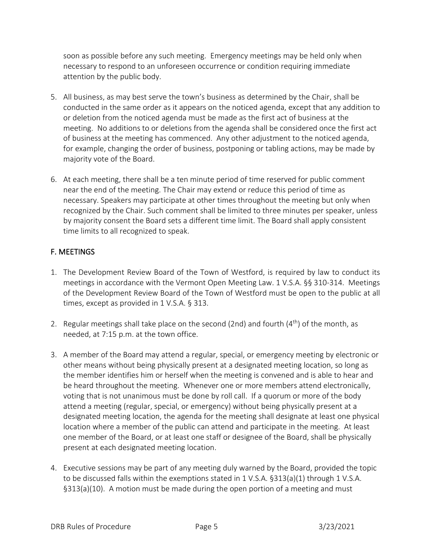soon as possible before any such meeting. Emergency meetings may be held only when necessary to respond to an unforeseen occurrence or condition requiring immediate attention by the public body.

- 5. All business, as may best serve the town's business as determined by the Chair, shall be conducted in the same order as it appears on the noticed agenda, except that any addition to or deletion from the noticed agenda must be made as the first act of business at the meeting. No additions to or deletions from the agenda shall be considered once the first act of business at the meeting has commenced. Any other adjustment to the noticed agenda, for example, changing the order of business, postponing or tabling actions, may be made by majority vote of the Board.
- 6. At each meeting, there shall be a ten minute period of time reserved for public comment near the end of the meeting. The Chair may extend or reduce this period of time as necessary. Speakers may participate at other times throughout the meeting but only when recognized by the Chair. Such comment shall be limited to three minutes per speaker, unless by majority consent the Board sets a different time limit. The Board shall apply consistent time limits to all recognized to speak.

# F. MEETINGS

- 1. The Development Review Board of the Town of Westford, is required by law to conduct its meetings in accordance with the Vermont Open Meeting Law. 1 V.S.A. §§ 310-314. Meetings of the Development Review Board of the Town of Westford must be open to the public at all times, except as provided in 1 V.S.A. § 313.
- 2. Regular meetings shall take place on the second (2nd) and fourth  $(4<sup>th</sup>)$  of the month, as needed, at 7:15 p.m. at the town office.
- 3. A member of the Board may attend a regular, special, or emergency meeting by electronic or other means without being physically present at a designated meeting location, so long as the member identifies him or herself when the meeting is convened and is able to hear and be heard throughout the meeting. Whenever one or more members attend electronically, voting that is not unanimous must be done by roll call. If a quorum or more of the body attend a meeting (regular, special, or emergency) without being physically present at a designated meeting location, the agenda for the meeting shall designate at least one physical location where a member of the public can attend and participate in the meeting. At least one member of the Board, or at least one staff or designee of the Board, shall be physically present at each designated meeting location.
- 4. Executive sessions may be part of any meeting duly warned by the Board, provided the topic to be discussed falls within the exemptions stated in 1 V.S.A. §313(a)(1) through 1 V.S.A. §313(a)(10). A motion must be made during the open portion of a meeting and must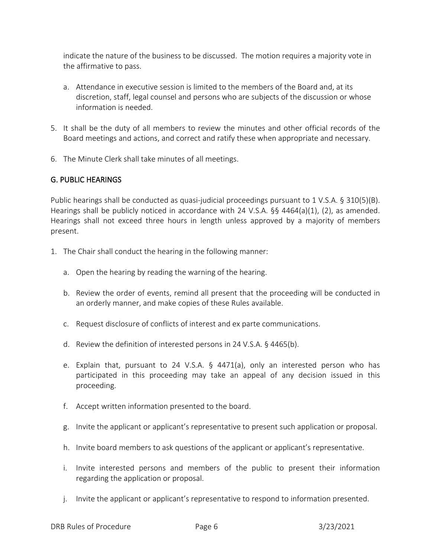indicate the nature of the business to be discussed. The motion requires a majority vote in the affirmative to pass.

- a. Attendance in executive session is limited to the members of the Board and, at its discretion, staff, legal counsel and persons who are subjects of the discussion or whose information is needed.
- 5. It shall be the duty of all members to review the minutes and other official records of the Board meetings and actions, and correct and ratify these when appropriate and necessary.
- 6. The Minute Clerk shall take minutes of all meetings.

# G. PUBLIC HEARINGS

Public hearings shall be conducted as quasi-judicial proceedings pursuant to 1 V.S.A. § 310(5)(B). Hearings shall be publicly noticed in accordance with 24 V.S.A. §§ 4464(a)(1), (2), as amended. Hearings shall not exceed three hours in length unless approved by a majority of members present.

- 1. The Chair shall conduct the hearing in the following manner:
	- a. Open the hearing by reading the warning of the hearing.
	- b. Review the order of events, remind all present that the proceeding will be conducted in an orderly manner, and make copies of these Rules available.
	- c. Request disclosure of conflicts of interest and ex parte communications.
	- d. Review the definition of interested persons in 24 V.S.A. § 4465(b).
	- e. Explain that, pursuant to 24 V.S.A. § 4471(a), only an interested person who has participated in this proceeding may take an appeal of any decision issued in this proceeding.
	- f. Accept written information presented to the board.
	- g. Invite the applicant or applicant's representative to present such application or proposal.
	- h. Invite board members to ask questions of the applicant or applicant's representative.
	- i. Invite interested persons and members of the public to present their information regarding the application or proposal.
	- j. Invite the applicant or applicant's representative to respond to information presented.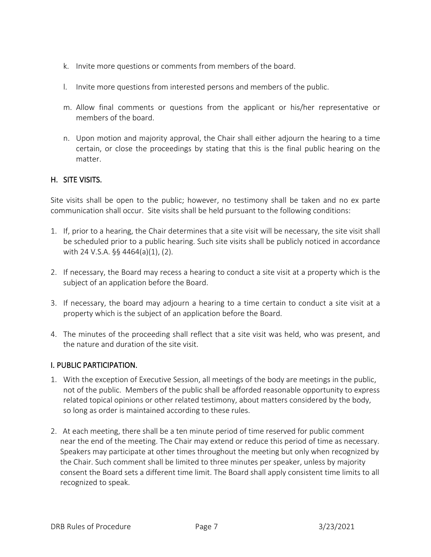- k. Invite more questions or comments from members of the board.
- l. Invite more questions from interested persons and members of the public.
- m. Allow final comments or questions from the applicant or his/her representative or members of the board.
- n. Upon motion and majority approval, the Chair shall either adjourn the hearing to a time certain, or close the proceedings by stating that this is the final public hearing on the matter.

#### H. SITE VISITS.

Site visits shall be open to the public; however, no testimony shall be taken and no ex parte communication shall occur. Site visits shall be held pursuant to the following conditions:

- 1. If, prior to a hearing, the Chair determines that a site visit will be necessary, the site visit shall be scheduled prior to a public hearing. Such site visits shall be publicly noticed in accordance with 24 V.S.A. §§ 4464(a)(1), (2).
- 2. If necessary, the Board may recess a hearing to conduct a site visit at a property which is the subject of an application before the Board.
- 3. If necessary, the board may adjourn a hearing to a time certain to conduct a site visit at a property which is the subject of an application before the Board.
- 4. The minutes of the proceeding shall reflect that a site visit was held, who was present, and the nature and duration of the site visit.

#### I. PUBLIC PARTICIPATION.

- 1. With the exception of Executive Session, all meetings of the body are meetings in the public, not of the public. Members of the public shall be afforded reasonable opportunity to express related topical opinions or other related testimony, about matters considered by the body, so long as order is maintained according to these rules.
- 2. At each meeting, there shall be a ten minute period of time reserved for public comment near the end of the meeting. The Chair may extend or reduce this period of time as necessary. Speakers may participate at other times throughout the meeting but only when recognized by the Chair. Such comment shall be limited to three minutes per speaker, unless by majority consent the Board sets a different time limit. The Board shall apply consistent time limits to all recognized to speak.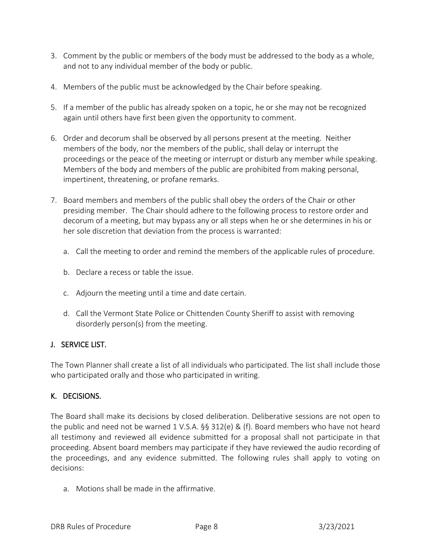- 3. Comment by the public or members of the body must be addressed to the body as a whole, and not to any individual member of the body or public.
- 4. Members of the public must be acknowledged by the Chair before speaking.
- 5. If a member of the public has already spoken on a topic, he or she may not be recognized again until others have first been given the opportunity to comment.
- 6. Order and decorum shall be observed by all persons present at the meeting. Neither members of the body, nor the members of the public, shall delay or interrupt the proceedings or the peace of the meeting or interrupt or disturb any member while speaking. Members of the body and members of the public are prohibited from making personal, impertinent, threatening, or profane remarks.
- 7. Board members and members of the public shall obey the orders of the Chair or other presiding member. The Chair should adhere to the following process to restore order and decorum of a meeting, but may bypass any or all steps when he or she determines in his or her sole discretion that deviation from the process is warranted:
	- a. Call the meeting to order and remind the members of the applicable rules of procedure.
	- b. Declare a recess or table the issue.
	- c. Adjourn the meeting until a time and date certain.
	- d. Call the Vermont State Police or Chittenden County Sheriff to assist with removing disorderly person(s) from the meeting.

# J. SERVICE LIST.

The Town Planner shall create a list of all individuals who participated. The list shall include those who participated orally and those who participated in writing.

# K. DECISIONS.

The Board shall make its decisions by closed deliberation. Deliberative sessions are not open to the public and need not be warned 1 V.S.A. §§ 312(e) & (f). Board members who have not heard all testimony and reviewed all evidence submitted for a proposal shall not participate in that proceeding. Absent board members may participate if they have reviewed the audio recording of the proceedings, and any evidence submitted. The following rules shall apply to voting on decisions:

a. Motions shall be made in the affirmative.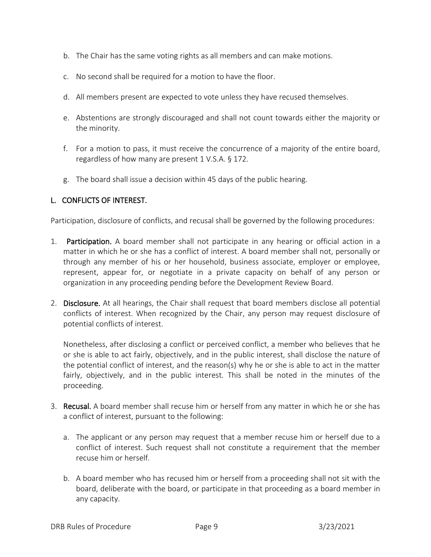- b. The Chair has the same voting rights as all members and can make motions.
- c. No second shall be required for a motion to have the floor.
- d. All members present are expected to vote unless they have recused themselves.
- e. Abstentions are strongly discouraged and shall not count towards either the majority or the minority.
- f. For a motion to pass, it must receive the concurrence of a majority of the entire board, regardless of how many are present 1 V.S.A. § 172.
- g. The board shall issue a decision within 45 days of the public hearing.

## L. CONFLICTS OF INTEREST.

Participation, disclosure of conflicts, and recusal shall be governed by the following procedures:

- 1. Participation. A board member shall not participate in any hearing or official action in a matter in which he or she has a conflict of interest. A board member shall not, personally or through any member of his or her household, business associate, employer or employee, represent, appear for, or negotiate in a private capacity on behalf of any person or organization in any proceeding pending before the Development Review Board.
- 2. Disclosure. At all hearings, the Chair shall request that board members disclose all potential conflicts of interest. When recognized by the Chair, any person may request disclosure of potential conflicts of interest.

Nonetheless, after disclosing a conflict or perceived conflict, a member who believes that he or she is able to act fairly, objectively, and in the public interest, shall disclose the nature of the potential conflict of interest, and the reason(s) why he or she is able to act in the matter fairly, objectively, and in the public interest. This shall be noted in the minutes of the proceeding.

- 3. Recusal. A board member shall recuse him or herself from any matter in which he or she has a conflict of interest, pursuant to the following:
	- a. The applicant or any person may request that a member recuse him or herself due to a conflict of interest. Such request shall not constitute a requirement that the member recuse him or herself.
	- b. A board member who has recused him or herself from a proceeding shall not sit with the board, deliberate with the board, or participate in that proceeding as a board member in any capacity.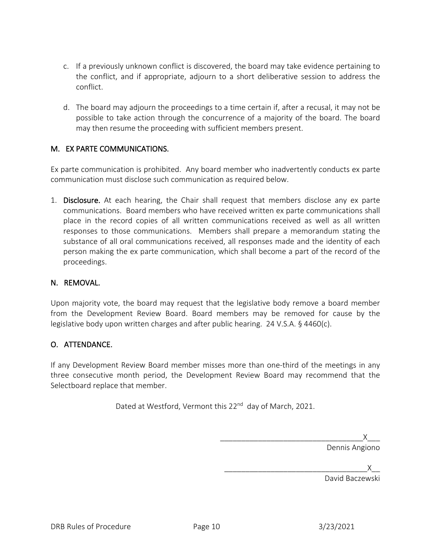- c. If a previously unknown conflict is discovered, the board may take evidence pertaining to the conflict, and if appropriate, adjourn to a short deliberative session to address the conflict.
- d. The board may adjourn the proceedings to a time certain if, after a recusal, it may not be possible to take action through the concurrence of a majority of the board. The board may then resume the proceeding with sufficient members present.

## M. EX PARTE COMMUNICATIONS.

Ex parte communication is prohibited. Any board member who inadvertently conducts ex parte communication must disclose such communication as required below.

1. Disclosure. At each hearing, the Chair shall request that members disclose any ex parte communications. Board members who have received written ex parte communications shall place in the record copies of all written communications received as well as all written responses to those communications. Members shall prepare a memorandum stating the substance of all oral communications received, all responses made and the identity of each person making the ex parte communication, which shall become a part of the record of the proceedings.

## N. REMOVAL.

Upon majority vote, the board may request that the legislative body remove a board member from the Development Review Board. Board members may be removed for cause by the legislative body upon written charges and after public hearing. 24 V.S.A. § 4460(c).

## O. ATTENDANCE.

If any Development Review Board member misses more than one-third of the meetings in any three consecutive month period, the Development Review Board may recommend that the Selectboard replace that member.

Dated at Westford, Vermont this 22<sup>nd</sup> day of March, 2021.

\_\_\_\_\_\_\_\_\_\_\_\_\_\_\_\_\_\_\_\_\_\_\_\_\_\_\_\_\_\_\_\_\_\_X\_\_\_ Dennis Angiono

|  | $\overline{\phantom{a}}$ |  |
|--|--------------------------|--|

David Baczewski